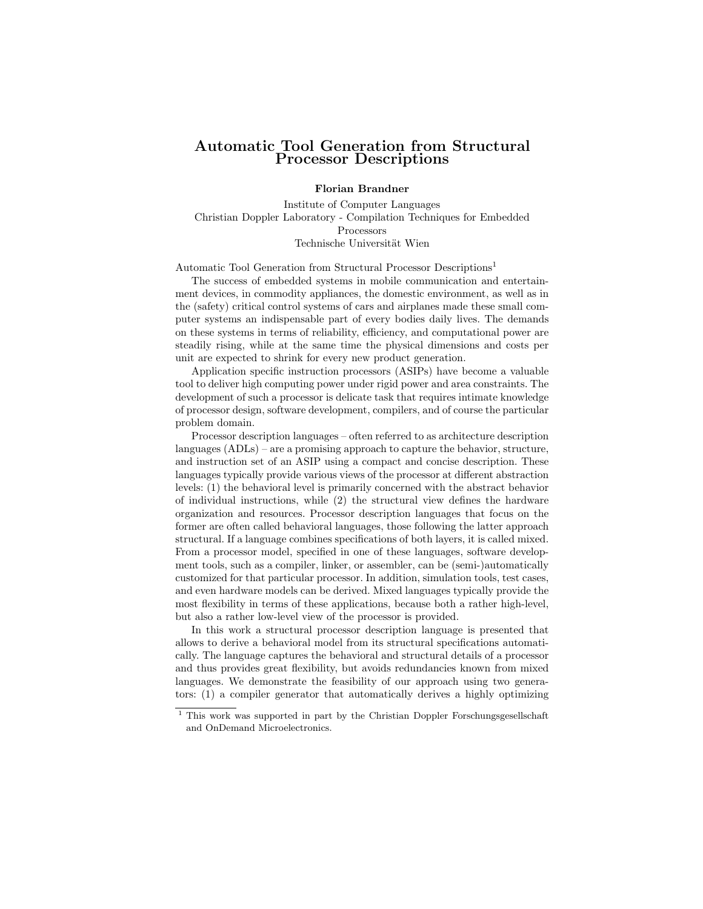## Automatic Tool Generation from Structural Processor Descriptions

## Florian Brandner

Institute of Computer Languages Christian Doppler Laboratory - Compilation Techniques for Embedded Processors Technische Universität Wien

Automatic Tool Generation from Structural Processor Descriptions<sup>1</sup>

The success of embedded systems in mobile communication and entertainment devices, in commodity appliances, the domestic environment, as well as in the (safety) critical control systems of cars and airplanes made these small computer systems an indispensable part of every bodies daily lives. The demands on these systems in terms of reliability, efficiency, and computational power are steadily rising, while at the same time the physical dimensions and costs per unit are expected to shrink for every new product generation.

Application specific instruction processors (ASIPs) have become a valuable tool to deliver high computing power under rigid power and area constraints. The development of such a processor is delicate task that requires intimate knowledge of processor design, software development, compilers, and of course the particular problem domain.

Processor description languages – often referred to as architecture description languages (ADLs) – are a promising approach to capture the behavior, structure, and instruction set of an ASIP using a compact and concise description. These languages typically provide various views of the processor at different abstraction levels: (1) the behavioral level is primarily concerned with the abstract behavior of individual instructions, while (2) the structural view defines the hardware organization and resources. Processor description languages that focus on the former are often called behavioral languages, those following the latter approach structural. If a language combines specifications of both layers, it is called mixed. From a processor model, specified in one of these languages, software development tools, such as a compiler, linker, or assembler, can be (semi-)automatically customized for that particular processor. In addition, simulation tools, test cases, and even hardware models can be derived. Mixed languages typically provide the most flexibility in terms of these applications, because both a rather high-level, but also a rather low-level view of the processor is provided.

In this work a structural processor description language is presented that allows to derive a behavioral model from its structural specifications automatically. The language captures the behavioral and structural details of a processor and thus provides great flexibility, but avoids redundancies known from mixed languages. We demonstrate the feasibility of our approach using two generators: (1) a compiler generator that automatically derives a highly optimizing

 $^{\rm 1}$  This work was supported in part by the Christian Doppler Forschungsgesellschaft and OnDemand Microelectronics.